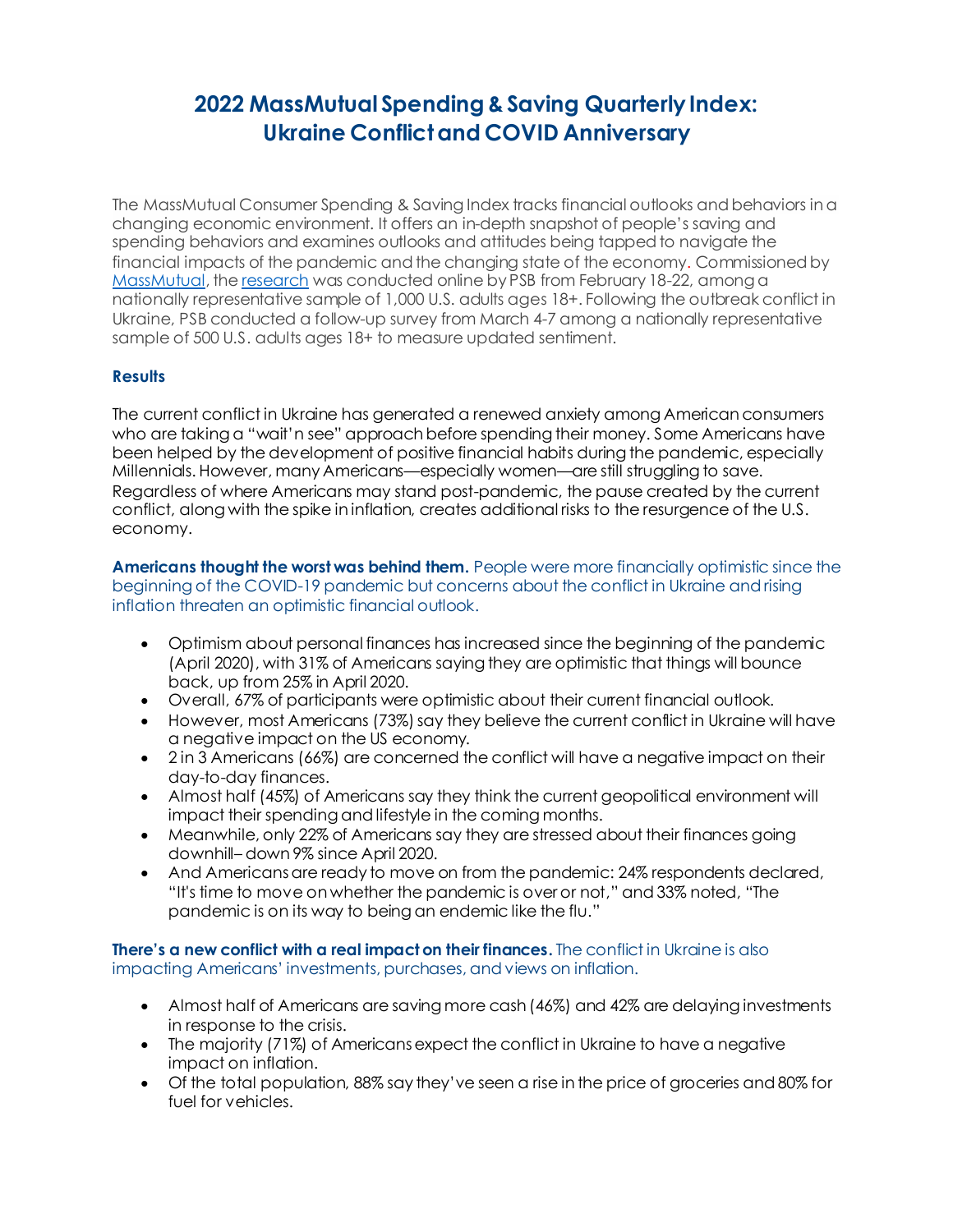## **2022 MassMutual Spending & Saving Quarterly Index: Ukraine Conflict and COVID Anniversary**

The MassMutual Consumer Spending & Saving Index tracks financial outlooks and behaviors in a changing economic environment. It offers an in-depth snapshot of people's saving and spending behaviors and examines outlooks and attitudes being tapped to navigate the financial impacts of the pandemic and the changing state of the economy. Commissioned by [MassMutual](http://www.massmutual.com/), th[e research](https://www.massmutual.com/Winter2022MassMutualConsumerIndex) was conducted online by PSB from February 18-22, among a nationally representative sample of 1,000 U.S. adults ages 18+. Following the outbreak conflict in Ukraine, PSB conducted a follow-up survey from March 4-7 among a nationally representative sample of 500 U.S. adults ages 18+ to measure updated sentiment.

## **Results**

The current conflict in Ukraine has generated a renewed anxiety among American consumers who are taking a "wait'n see" approach before spending their money. Some Americans have been helped by the development of positive financial habits during the pandemic, especially Millennials. However, many Americans—especially women—are still struggling to save. Regardless of where Americans may stand post-pandemic, the pause created by the current conflict, along with the spike in inflation, creates additional risks to the resurgence of the U.S. economy.

**Americans thought the worst was behind them.** People were more financially optimistic since the beginning of the COVID-19 pandemic but concerns about the conflict in Ukraine and rising inflation threaten an optimistic financial outlook.

- Optimism about personal finances has increased since the beginning of the pandemic (April 2020), with 31% of Americans saying they are optimistic that things will bounce back, up from 25% in April 2020.
- Overall, 67% of participants were optimistic about their current financial outlook.
- However, most Americans (73%) say they believe the current conflict in Ukraine will have a negative impact on the US economy.
- 2 in 3 Americans (66%) are concerned the conflict will have a negative impact on their day-to-day finances.
- Almost half (45%) of Americans say they think the current geopolitical environment will impact their spending and lifestyle in the coming months.
- Meanwhile, only 22% of Americans say they are stressed about their finances going downhill– down 9% since April 2020.
- And Americans are ready to move on from the pandemic: 24% respondents declared, "It's time to move on whether the pandemic is over or not," and 33% noted, "The pandemic is on its way to being an endemic like the flu."

**There's a new conflict with a real impact on their finances.** The conflict in Ukraine is also impacting Americans' investments, purchases, and views on inflation.

- Almost half of Americans are saving more cash (46%) and 42% are delaying investments in response to the crisis.
- The majority (71%) of Americans expect the conflict in Ukraine to have a negative impact on inflation.
- Of the total population, 88% say they've seen a rise in the price of groceries and 80% for fuel for vehicles.